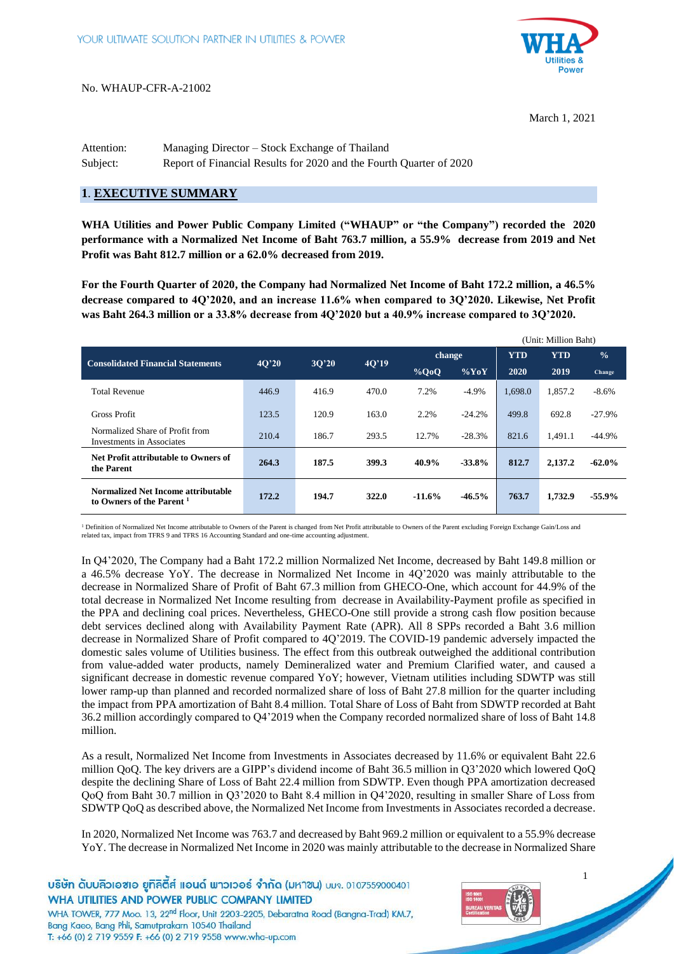

March 1, 2021

| Attention: | Managing Director – Stock Exchange of Thailand                      |
|------------|---------------------------------------------------------------------|
| Subject:   | Report of Financial Results for 2020 and the Fourth Quarter of 2020 |

## **1**. **EXECUTIVE SUMMARY**

**WHA Utilities and Power Public Company Limited ("WHAUP" or "the Company") recorded the 2020 performance with a Normalized Net Income of Baht 763.7 million, a 55.9% decrease from 2019 and Net Profit was Baht 812.7 million or a 62.0% decreased from 2019.**

**For the Fourth Quarter of 2020, the Company had Normalized Net Income of Baht 172.2 million, a 46.5% decrease compared to 4Q'2020, and an increase 11.6% when compared to 3Q'2020. Likewise, Net Profit was Baht 264.3 million or a 33.8% decrease from 4Q'2020 but a 40.9% increase compared to 3Q'2020.**

|                                                                            |       |       |       |          |          |            | (Unit: Million Baht) |               |
|----------------------------------------------------------------------------|-------|-------|-------|----------|----------|------------|----------------------|---------------|
| <b>Consolidated Financial Statements</b>                                   | 40'20 |       | 40'19 | change   |          | <b>YTD</b> | <b>YTD</b>           | $\frac{0}{0}$ |
|                                                                            |       | 3O'20 |       | $\%$ QoQ | $\%$ YoY | 2020       | 2019                 | Change        |
| <b>Total Revenue</b>                                                       | 446.9 | 416.9 | 470.0 | 7.2%     | $-4.9\%$ | 1,698.0    | 1,857.2              | $-8.6%$       |
| Gross Profit                                                               | 123.5 | 120.9 | 163.0 | 2.2%     | $-24.2%$ | 499.8      | 692.8                | $-27.9\%$     |
| Normalized Share of Profit from<br><b>Investments in Associates</b>        | 210.4 | 186.7 | 293.5 | 12.7%    | $-28.3%$ | 821.6      | 1.491.1              | $-44.9\%$     |
| Net Profit attributable to Owners of<br>the Parent                         | 264.3 | 187.5 | 399.3 | 40.9%    | $-33.8%$ | 812.7      | 2,137.2              | $-62.0%$      |
| Normalized Net Income attributable<br>to Owners of the Parent <sup>1</sup> | 172.2 | 194.7 | 322.0 | $-11.6%$ | $-46.5%$ | 763.7      | 1,732.9              | $-55.9%$      |

<sup>1</sup> Definition of Normalized Net Income attributable to Owners of the Parent is changed from Net Profit attributable to Owners of the Parent excluding Foreign Exchange Gain/Loss and<br>related tax, impact from TFRS 9 and TFRS

In Q4'2020, The Company had a Baht 172.2 million Normalized Net Income, decreased by Baht 149.8 million or a 46.5% decrease YoY. The decrease in Normalized Net Income in 4Q'2020 was mainly attributable to the decrease in Normalized Share of Profit of Baht 67.3 million from GHECO-One, which account for 44.9% of the total decrease in Normalized Net Income resulting from decrease in Availability-Payment profile as specified in the PPA and declining coal prices. Nevertheless, GHECO-One still provide a strong cash flow position because debt services declined along with Availability Payment Rate (APR). All 8 SPPs recorded a Baht 3.6 million decrease in Normalized Share of Profit compared to 4Q'2019. The COVID-19 pandemic adversely impacted the domestic sales volume of Utilities business. The effect from this outbreak outweighed the additional contribution from value-added water products, namely Demineralized water and Premium Clarified water, and caused a significant decrease in domestic revenue compared YoY; however, Vietnam utilities including SDWTP was still lower ramp-up than planned and recorded normalized share of loss of Baht 27.8 million for the quarter including the impact from PPA amortization of Baht 8.4 million. Total Share of Loss of Baht from SDWTP recorded at Baht 36.2 million accordingly compared to Q4'2019 when the Company recorded normalized share of loss of Baht 14.8 million.

As a result, Normalized Net Income from Investments in Associates decreased by 11.6% or equivalent Baht 22.6 million QoQ. The key drivers are a GIPP's dividend income of Baht 36.5 million in Q3'2020 which lowered QoQ despite the declining Share of Loss of Baht 22.4 million from SDWTP. Even though PPA amortization decreased QoQ from Baht 30.7 million in Q3'2020 to Baht 8.4 million in Q4'2020, resulting in smaller Share of Loss from SDWTP QoQ as described above, the Normalized Net Income from Investments in Associates recorded a decrease.

In 2020, Normalized Net Income was 763.7 and decreased by Baht 969.2 million or equivalent to a 55.9% decrease YoY. The decrease in Normalized Net Income in 2020 was mainly attributable to the decrease in Normalized Share



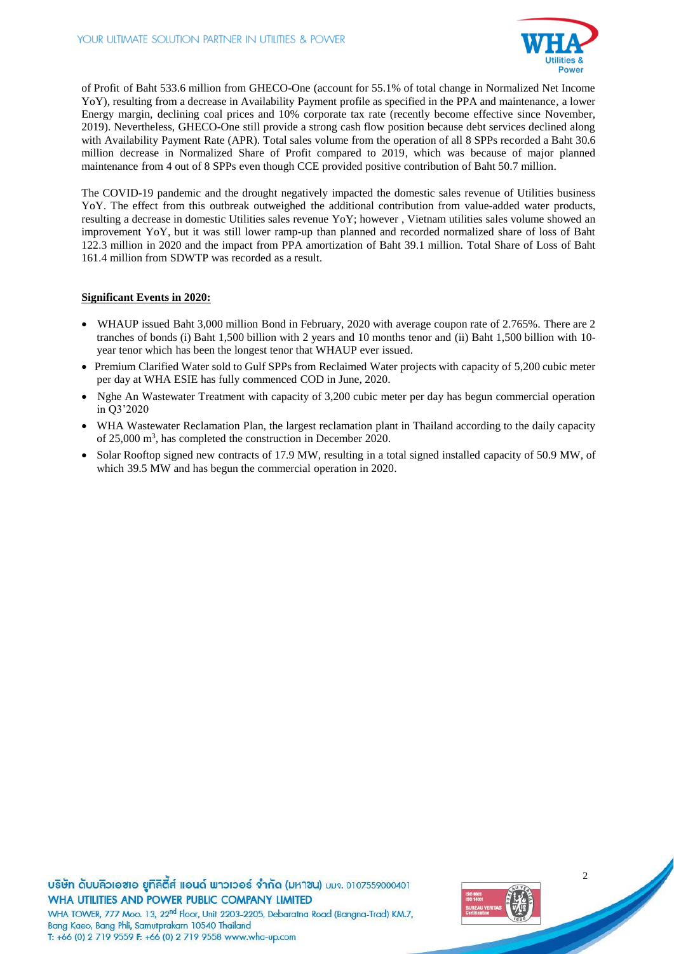

of Profit of Baht 533.6 million from GHECO-One (account for 55.1% of total change in Normalized Net Income YoY), resulting from a decrease in Availability Payment profile as specified in the PPA and maintenance, a lower Energy margin, declining coal prices and 10% corporate tax rate (recently become effective since November, 2019). Nevertheless, GHECO-One still provide a strong cash flow position because debt services declined along with Availability Payment Rate (APR). Total sales volume from the operation of all 8 SPPs recorded a Baht 30.6 million decrease in Normalized Share of Profit compared to 2019, which was because of major planned maintenance from 4 out of 8 SPPs even though CCE provided positive contribution of Baht 50.7 million.

The COVID-19 pandemic and the drought negatively impacted the domestic sales revenue of Utilities business YoY. The effect from this outbreak outweighed the additional contribution from value-added water products, resulting a decrease in domestic Utilities sales revenue YoY; however , Vietnam utilities sales volume showed an improvement YoY, but it was still lower ramp-up than planned and recorded normalized share of loss of Baht 122.3 million in 2020 and the impact from PPA amortization of Baht 39.1 million. Total Share of Loss of Baht 161.4 million from SDWTP was recorded as a result.

#### **Significant Events in 2020:**

- WHAUP issued Baht 3,000 million Bond in February, 2020 with average coupon rate of 2.765%. There are 2 tranches of bonds (i) Baht 1,500 billion with 2 years and 10 months tenor and (ii) Baht 1,500 billion with 10 year tenor which has been the longest tenor that WHAUP ever issued.
- Premium Clarified Water sold to Gulf SPPs from Reclaimed Water projects with capacity of 5,200 cubic meter per day at WHA ESIE has fully commenced COD in June, 2020.
- Nghe An Wastewater Treatment with capacity of 3,200 cubic meter per day has begun commercial operation in Q3'2020
- WHA Wastewater Reclamation Plan, the largest reclamation plant in Thailand according to the daily capacity of 25,000 m<sup>3</sup>, has completed the construction in December 2020.
- Solar Rooftop signed new contracts of 17.9 MW, resulting in a total signed installed capacity of 50.9 MW, of which 39.5 MW and has begun the commercial operation in 2020.

บริษัท ดับบลิวเอซเอ ยูทิลิตีส์ แอนด์ พาวเวอร์ จำกัด (มหาซน) บมจ. 0107559000401 WHA UTILITIES AND POWER PUBLIC COMPANY LIMITED WHA TOWER, 777 Moo. 13, 22<sup>nd</sup> Floor, Unit 2203-2205, Debaratna Road (Bangna-Trad) KM.7, Bang Kaeo, Bang Phli, Samutprakarn 10540 Thailand



 $\overline{2}$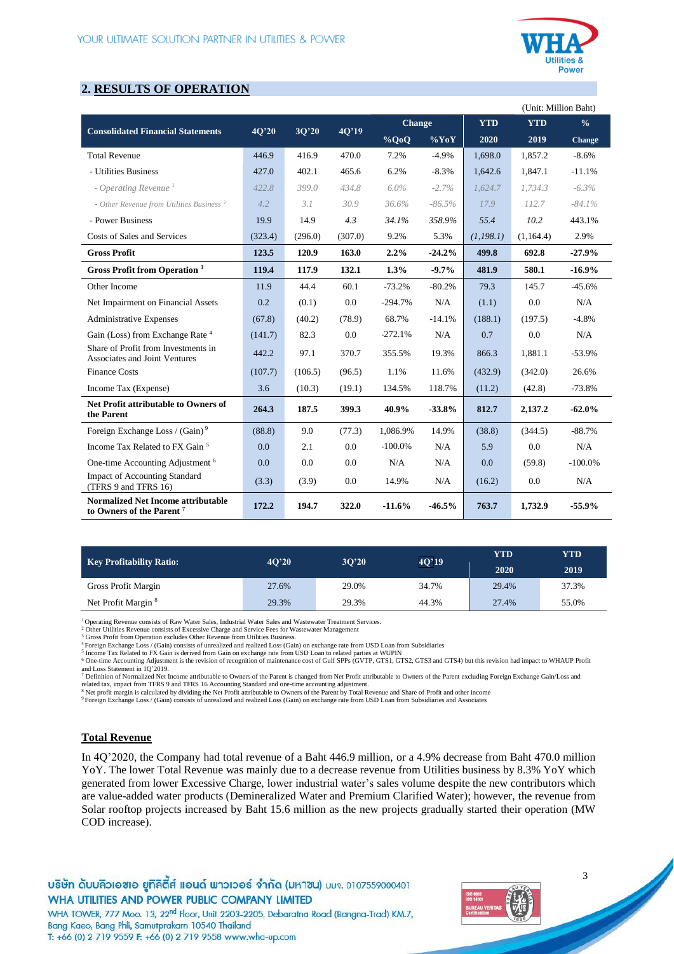

# **2. RESULTS OF OPERATION**

|                                                                                   |         |         |         |               |          |            | (Unit: Million Baht) |               |
|-----------------------------------------------------------------------------------|---------|---------|---------|---------------|----------|------------|----------------------|---------------|
|                                                                                   |         |         |         | <b>Change</b> |          | <b>YTD</b> | <b>YTD</b>           | $\frac{0}{0}$ |
| <b>Consolidated Financial Statements</b>                                          | 4Q'20   | 3Q'20   | 4Q'19   | $\%$ QoQ      | $\%$ YoY | 2020       | 2019                 | Change        |
| <b>Total Revenue</b>                                                              | 446.9   | 416.9   | 470.0   | 7.2%          | $-4.9%$  | 1,698.0    | 1.857.2              | $-8.6%$       |
| - Utilities Business                                                              | 427.0   | 402.1   | 465.6   | 6.2%          | $-8.3%$  | 1,642.6    | 1,847.1              | $-11.1%$      |
| - Operating Revenue <sup>1</sup>                                                  | 422.8   | 399.0   | 434.8   | $6.0\%$       | $-2.7%$  | 1.624.7    | 1,734.3              | $-6.3\%$      |
| - Other Revenue from Utilities Business <sup>2</sup>                              | 4.2     | 3.1     | 30.9    | 36.6%         | $-86.5%$ | 17.9       | 112.7                | $-84.1\%$     |
| - Power Business                                                                  | 19.9    | 14.9    | 4.3     | 34.1%         | 358.9%   | 55.4       | 10.2                 | 443.1%        |
| Costs of Sales and Services                                                       | (323.4) | (296.0) | (307.0) | 9.2%          | 5.3%     | (1, 198.1) | (1,164.4)            | 2.9%          |
| <b>Gross Profit</b>                                                               | 123.5   | 120.9   | 163.0   | 2.2%          | $-24.2%$ | 499.8      | 692.8                | $-27.9%$      |
| <b>Gross Profit from Operation</b> <sup>3</sup>                                   | 119.4   | 117.9   | 132.1   | 1.3%          | $-9.7%$  | 481.9      | 580.1                | $-16.9%$      |
| Other Income                                                                      | 11.9    | 44.4    | 60.1    | $-73.2%$      | $-80.2%$ | 79.3       | 145.7                | $-45.6%$      |
| Net Impairment on Financial Assets                                                | 0.2     | (0.1)   | 0.0     | $-294.7%$     | N/A      | (1.1)      | 0.0                  | N/A           |
| <b>Administrative Expenses</b>                                                    | (67.8)  | (40.2)  | (78.9)  | 68.7%         | $-14.1%$ | (188.1)    | (197.5)              | $-4.8%$       |
| Gain (Loss) from Exchange Rate <sup>4</sup>                                       | (141.7) | 82.3    | 0.0     | $-272.1%$     | N/A      | 0.7        | 0.0                  | N/A           |
| Share of Profit from Investments in<br>Associates and Joint Ventures              | 442.2   | 97.1    | 370.7   | 355.5%        | 19.3%    | 866.3      | 1,881.1              | $-53.9%$      |
| <b>Finance Costs</b>                                                              | (107.7) | (106.5) | (96.5)  | 1.1%          | 11.6%    | (432.9)    | (342.0)              | 26.6%         |
| Income Tax (Expense)                                                              | 3.6     | (10.3)  | (19.1)  | 134.5%        | 118.7%   | (11.2)     | (42.8)               | $-73.8%$      |
| Net Profit attributable to Owners of<br>the Parent                                | 264.3   | 187.5   | 399.3   | 40.9%         | $-33.8%$ | 812.7      | 2,137.2              | $-62.0%$      |
| Foreign Exchange Loss / (Gain) <sup>9</sup>                                       | (88.8)  | 9.0     | (77.3)  | 1,086.9%      | 14.9%    | (38.8)     | (344.5)              | $-88.7%$      |
| Income Tax Related to FX Gain <sup>5</sup>                                        | 0.0     | 2.1     | 0.0     | $-100.0\%$    | N/A      | 5.9        | 0.0                  | N/A           |
| One-time Accounting Adjustment <sup>6</sup>                                       | 0.0     | 0.0     | 0.0     | N/A           | N/A      | 0.0        | (59.8)               | $-100.0\%$    |
| <b>Impact of Accounting Standard</b><br>(TFRS 9 and TFRS 16)                      | (3.3)   | (3.9)   | 0.0     | 14.9%         | N/A      | (16.2)     | 0.0                  | N/A           |
| <b>Normalized Net Income attributable</b><br>to Owners of the Parent <sup>7</sup> | 172.2   | 194.7   | 322.0   | $-11.6%$      | $-46.5%$ | 763.7      | 1.732.9              | $-55.9%$      |

| <b>Key Profitability Ratio:</b> | 40'20 | 3O <sup>20</sup> | 4Q'19 | YTD   | YTD   |
|---------------------------------|-------|------------------|-------|-------|-------|
|                                 |       |                  |       | 2020  | 2019  |
| Gross Profit Margin             | 27.6% | 29.0%            | 34.7% | 29.4% | 37.3% |
| Net Profit Margin <sup>8</sup>  | 29.3% | 29.3%            | 44.3% | 27.4% | 55.0% |

<sup>1</sup>Operating Revenue consists of Raw Water Sales, Industrial Water Sales and Wastewater Treatment Services.

<sup>2</sup> Other Utilities Revenue consists of Excessive Charge and Service Fees for Wastewater Management<sup>2</sup> <sup>3</sup> Gross Profit from Operation excludes Other Revenue from Utilities Business.

<sup>4</sup> Foreign Exchange Loss / (Gain) consists of unrealized and realized Loss (Gain) on exchange rate from USD Loan from Subsidiaries<br><sup>5</sup> Income Tax Related to FX Gain is derived from Gain on exchange rate from USD Loan to r

<sup>6</sup> One-time Accounting Adjustment is the revision of recognition of maintenance cost of Gulf SPPs (GVTP, GTS1, GTS2, GTS3 and GTS4) but this revision had impact to WHAUP Profit

and Loss Statement in 1Q'2019.<br>7 Definition of Normalized Net Income attributable to Owners of the Parent is changed from Net Profit attributable to Owners of the Parent excluding Foreign Exchange Gain/Loss and<br>related tax

<sup>8</sup> Net profit margin is calculated by dividing the Net Profit attributable to Owners of the Parent by Total Revenue and Share of Profit and other income<br><sup>9</sup> Foreign Exchange Loss / (Gain) consists of unrealized and realiz

## **Total Revenue**

In 4Q'2020, the Company had total revenue of a Baht 446.9 million, or a 4.9% decrease from Baht 470.0 million YoY. The lower Total Revenue was mainly due to a decrease revenue from Utilities business by 8.3% YoY which generated from lower Excessive Charge, lower industrial water's sales volume despite the new contributors which are value-added water products (Demineralized Water and Premium Clarified Water); however, the revenue from Solar rooftop projects increased by Baht 15.6 million as the new projects gradually started their operation (MW COD increase).

บริษัท ดับบลิวเอซเอ ยูทิลิตี้ส์ แอนด์ พาวเวอร์ จำกัด (มหาซน) บมจ. 0107559000401 WHA UTILITIES AND POWER PUBLIC COMPANY LIMITED

WHA TOWER, 777 Moo. 13, 22<sup>nd</sup> Floor, Unit 2203-2205, Debaratna Road (Bangna-Trad) KM.7, Bang Kaeo, Bang Phli, Samutprakarn 10540 Thailand T: +66 (0) 2 719 9559 F: +66 (0) 2 719 9558 www.wha-up.com

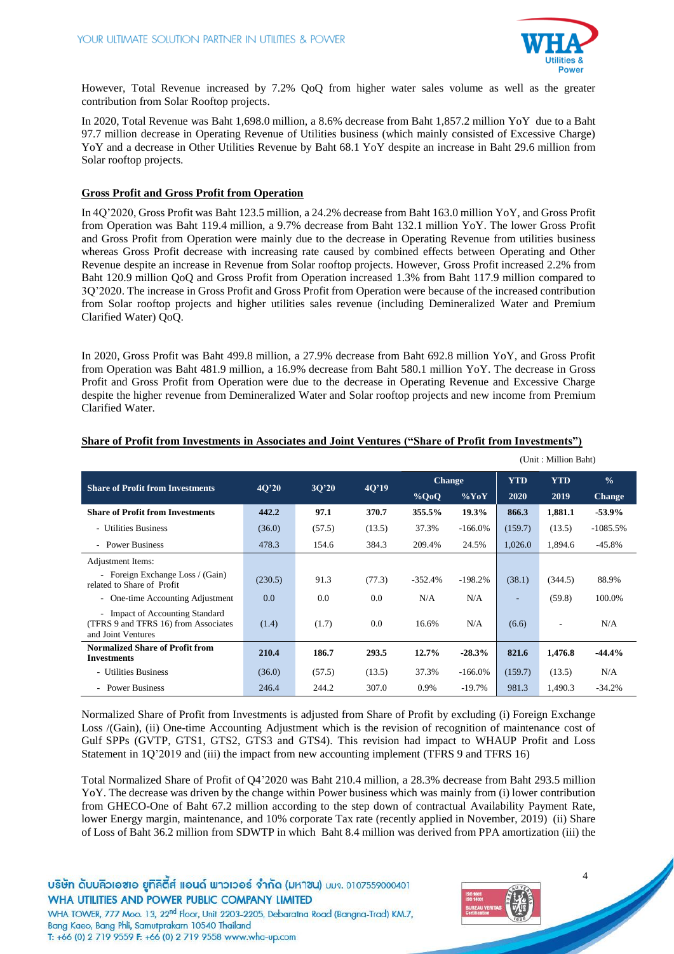

However, Total Revenue increased by 7.2% QoQ from higher water sales volume as well as the greater contribution from Solar Rooftop projects.

In 2020, Total Revenue was Baht 1,698.0 million, a 8.6% decrease from Baht 1,857.2 million YoY due to a Baht 97.7 million decrease in Operating Revenue of Utilities business (which mainly consisted of Excessive Charge) YoY and a decrease in Other Utilities Revenue by Baht 68.1 YoY despite an increase in Baht 29.6 million from Solar rooftop projects.

## **Gross Profit and Gross Profit from Operation**

In 4Q'2020, Gross Profit was Baht 123.5 million, a 24.2% decrease from Baht 163.0 million YoY, and Gross Profit from Operation was Baht 119.4 million, a 9.7% decrease from Baht 132.1 million YoY. The lower Gross Profit and Gross Profit from Operation were mainly due to the decrease in Operating Revenue from utilities business whereas Gross Profit decrease with increasing rate caused by combined effects between Operating and Other Revenue despite an increase in Revenue from Solar rooftop projects. However, Gross Profit increased 2.2% from Baht 120.9 million QoQ and Gross Profit from Operation increased 1.3% from Baht 117.9 million compared to 3Q'2020. The increase in Gross Profit and Gross Profit from Operation were because of the increased contribution from Solar rooftop projects and higher utilities sales revenue (including Demineralized Water and Premium Clarified Water) QoQ.

In 2020, Gross Profit was Baht 499.8 million, a 27.9% decrease from Baht 692.8 million YoY, and Gross Profit from Operation was Baht 481.9 million, a 16.9% decrease from Baht 580.1 million YoY. The decrease in Gross Profit and Gross Profit from Operation were due to the decrease in Operating Revenue and Excessive Charge despite the higher revenue from Demineralized Water and Solar rooftop projects and new income from Premium Clarified Water.

|                                                                                               |         |        |        | (Unit: Million Baht) |            |            |            |               |
|-----------------------------------------------------------------------------------------------|---------|--------|--------|----------------------|------------|------------|------------|---------------|
| <b>Share of Profit from Investments</b>                                                       |         |        |        | <b>Change</b>        |            | <b>YTD</b> | <b>YTD</b> | $\frac{0}{0}$ |
|                                                                                               | 40'20   | 3O'20  | 40'19  | $\%$ QoQ             | $\%$ YoY   | 2020       | 2019       | <b>Change</b> |
| <b>Share of Profit from Investments</b>                                                       | 442.2   | 97.1   | 370.7  | 355.5%               | 19.3%      | 866.3      | 1,881.1    | $-53.9%$      |
| - Utilities Business                                                                          | (36.0)  | (57.5) | (13.5) | 37.3%                | $-166.0\%$ | (159.7)    | (13.5)     | $-1085.5%$    |
| - Power Business                                                                              | 478.3   | 154.6  | 384.3  | 209.4%               | 24.5%      | 1,026.0    | 1,894.6    | $-45.8%$      |
| Adjustment Items:                                                                             |         |        |        |                      |            |            |            |               |
| - Foreign Exchange Loss / (Gain)<br>related to Share of Profit                                | (230.5) | 91.3   | (77.3) | $-352.4%$            | $-198.2%$  | (38.1)     | (344.5)    | 88.9%         |
| - One-time Accounting Adjustment                                                              | 0.0     | 0.0    | 0.0    | N/A                  | N/A        |            | (59.8)     | 100.0%        |
| - Impact of Accounting Standard<br>(TFRS 9 and TFRS 16) from Associates<br>and Joint Ventures | (1.4)   | (1.7)  | 0.0    | 16.6%                | N/A        | (6.6)      | ۰          | N/A           |
| <b>Normalized Share of Profit from</b><br><b>Investments</b>                                  | 210.4   | 186.7  | 293.5  | 12.7%                | $-28.3%$   | 821.6      | 1,476.8    | $-44.4%$      |
| - Utilities Business                                                                          | (36.0)  | (57.5) | (13.5) | 37.3%                | $-166.0\%$ | (159.7)    | (13.5)     | N/A           |
| - Power Business                                                                              | 246.4   | 244.2  | 307.0  | 0.9%                 | $-19.7%$   | 981.3      | 1,490.3    | $-34.2%$      |

## **Share of Profit from Investments in Associates and Joint Ventures ("Share of Profit from Investments")**

Normalized Share of Profit from Investments is adjusted from Share of Profit by excluding (i) Foreign Exchange Loss /(Gain), (ii) One-time Accounting Adjustment which is the revision of recognition of maintenance cost of Gulf SPPs (GVTP, GTS1, GTS2, GTS3 and GTS4). This revision had impact to WHAUP Profit and Loss Statement in 1Q'2019 and (iii) the impact from new accounting implement (TFRS 9 and TFRS 16)

Total Normalized Share of Profit of Q4'2020 was Baht 210.4 million, a 28.3% decrease from Baht 293.5 million YoY. The decrease was driven by the change within Power business which was mainly from (i) lower contribution from GHECO-One of Baht 67.2 million according to the step down of contractual Availability Payment Rate, lower Energy margin, maintenance, and 10% corporate Tax rate (recently applied in November, 2019) (ii) Share of Loss of Baht 36.2 million from SDWTP in which Baht 8.4 million was derived from PPA amortization (iii) the

บริษัท ดับบลิวเอซเอ ยูทิลิตี้ส์ แอนด์ พาวเวอร์ จำกัด (มหาซน) บมจ. 0107559000401 WHA UTILITIES AND POWER PUBLIC COMPANY LIMITED





 $\overline{\mathbf{A}}$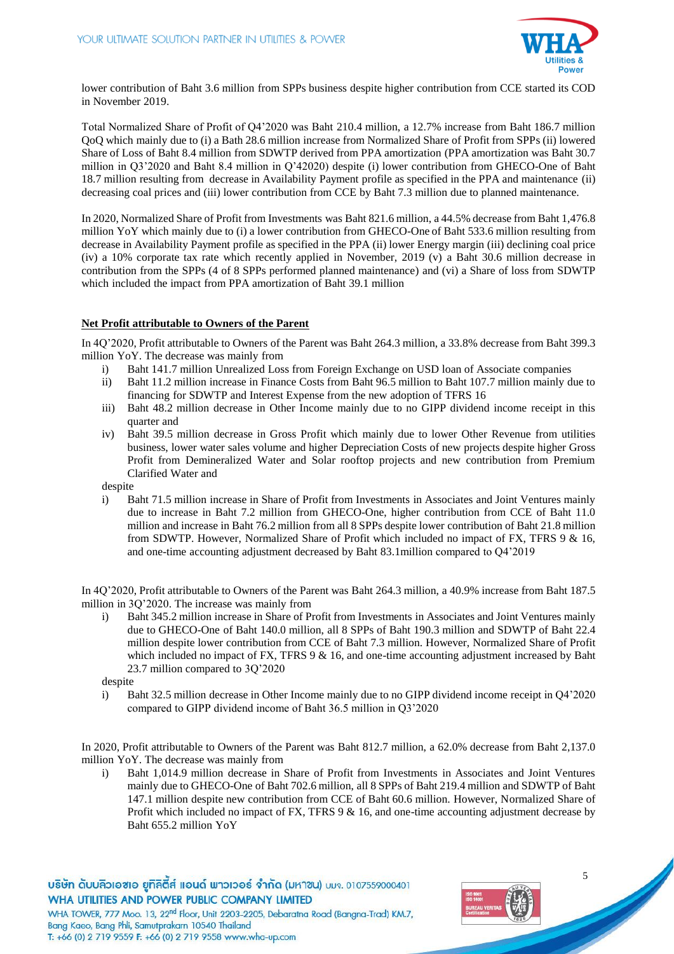

lower contribution of Baht 3.6 million from SPPs business despite higher contribution from CCE started its COD in November 2019.

Total Normalized Share of Profit of Q4'2020 was Baht 210.4 million, a 12.7% increase from Baht 186.7 million QoQ which mainly due to (i) a Bath 28.6 million increase from Normalized Share of Profit from SPPs (ii) lowered Share of Loss of Baht 8.4 million from SDWTP derived from PPA amortization (PPA amortization was Baht 30.7 million in Q3'2020 and Baht 8.4 million in Q'42020) despite (i) lower contribution from GHECO-One of Baht 18.7 million resulting from decrease in Availability Payment profile as specified in the PPA and maintenance (ii) decreasing coal prices and (iii) lower contribution from CCE by Baht 7.3 million due to planned maintenance.

In 2020, Normalized Share of Profit from Investments was Baht 821.6 million, a 44.5% decrease from Baht 1,476.8 million YoY which mainly due to (i) a lower contribution from GHECO-One of Baht 533.6 million resulting from decrease in Availability Payment profile as specified in the PPA (ii) lower Energy margin (iii) declining coal price (iv) a 10% corporate tax rate which recently applied in November, 2019 (v) a Baht 30.6 million decrease in contribution from the SPPs (4 of 8 SPPs performed planned maintenance) and (vi) a Share of loss from SDWTP which included the impact from PPA amortization of Baht 39.1 million

## **Net Profit attributable to Owners of the Parent**

In 4Q'2020, Profit attributable to Owners of the Parent was Baht 264.3 million, a 33.8% decrease from Baht 399.3 million YoY. The decrease was mainly from

- i) Baht 141.7 million Unrealized Loss from Foreign Exchange on USD loan of Associate companies
- ii) Baht 11.2 million increase in Finance Costs from Baht 96.5 million to Baht 107.7 million mainly due to financing for SDWTP and Interest Expense from the new adoption of TFRS 16
- iii) Baht 48.2 million decrease in Other Income mainly due to no GIPP dividend income receipt in this quarter and
- iv) Baht 39.5 million decrease in Gross Profit which mainly due to lower Other Revenue from utilities business, lower water sales volume and higher Depreciation Costs of new projects despite higher Gross Profit from Demineralized Water and Solar rooftop projects and new contribution from Premium Clarified Water and

despite

i) Baht 71.5 million increase in Share of Profit from Investments in Associates and Joint Ventures mainly due to increase in Baht 7.2 million from GHECO-One, higher contribution from CCE of Baht 11.0 million and increase in Baht 76.2 million from all 8 SPPs despite lower contribution of Baht 21.8 million from SDWTP. However, Normalized Share of Profit which included no impact of FX, TFRS 9 & 16, and one-time accounting adjustment decreased by Baht 83.1million compared to Q4'2019

In 4Q'2020, Profit attributable to Owners of the Parent was Baht 264.3 million, a 40.9% increase from Baht 187.5 million in 3Q'2020. The increase was mainly from

i) Baht 345.2 million increase in Share of Profit from Investments in Associates and Joint Ventures mainly due to GHECO-One of Baht 140.0 million, all 8 SPPs of Baht 190.3 million and SDWTP of Baht 22.4 million despite lower contribution from CCE of Baht 7.3 million. However, Normalized Share of Profit which included no impact of FX, TFRS  $9 \& 16$ , and one-time accounting adjustment increased by Baht 23.7 million compared to 3Q'2020

despite

Bang Kaeo, Bang Phli, Samutprakarn 10540 Thailand

T: +66 (0) 2 719 9559 F: +66 (0) 2 719 9558 www.wha-up.com

i) Baht 32.5 million decrease in Other Income mainly due to no GIPP dividend income receipt in Q4'2020 compared to GIPP dividend income of Baht 36.5 million in Q3'2020

In 2020, Profit attributable to Owners of the Parent was Baht 812.7 million, a 62.0% decrease from Baht 2,137.0 million YoY. The decrease was mainly from

i) Baht 1,014.9 million decrease in Share of Profit from Investments in Associates and Joint Ventures mainly due to GHECO-One of Baht 702.6 million, all 8 SPPs of Baht 219.4 million and SDWTP of Baht 147.1 million despite new contribution from CCE of Baht 60.6 million. However, Normalized Share of Profit which included no impact of FX, TFRS 9 & 16, and one-time accounting adjustment decrease by Baht 655.2 million YoY

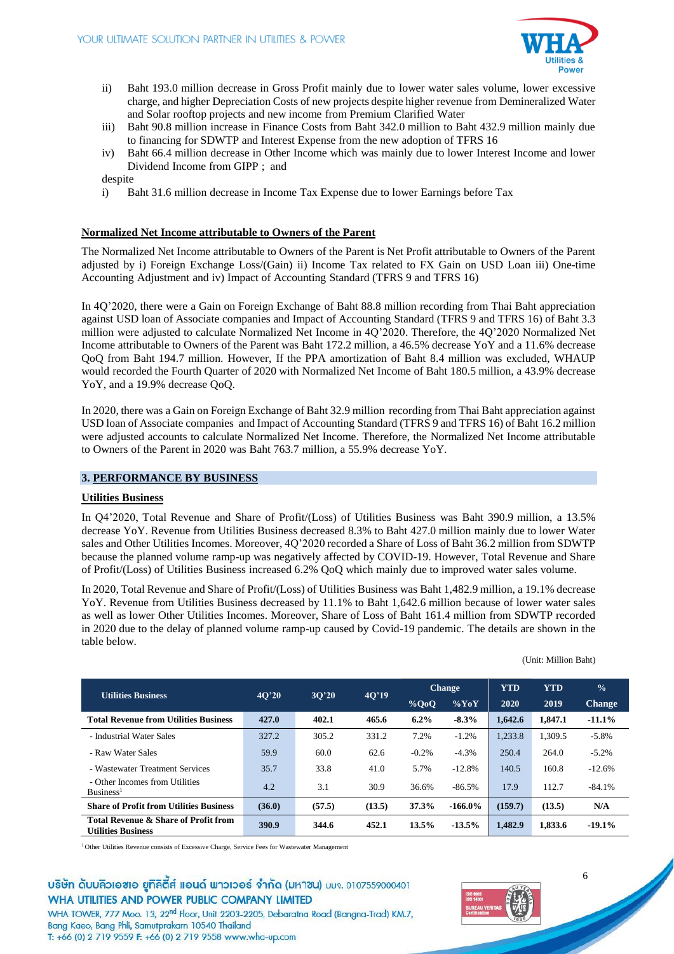

- ii) Baht 193.0 million decrease in Gross Profit mainly due to lower water sales volume, lower excessive charge, and higher Depreciation Costs of new projects despite higher revenue from Demineralized Water and Solar rooftop projects and new income from Premium Clarified Water
- iii) Baht 90.8 million increase in Finance Costs from Baht 342.0 million to Baht 432.9 million mainly due to financing for SDWTP and Interest Expense from the new adoption of TFRS 16
- iv) Baht 66.4 million decrease in Other Income which was mainly due to lower Interest Income and lower Dividend Income from GIPP ; and

i) Baht 31.6 million decrease in Income Tax Expense due to lower Earnings before Tax

#### **Normalized Net Income attributable to Owners of the Parent**

The Normalized Net Income attributable to Owners of the Parent is Net Profit attributable to Owners of the Parent adjusted by i) Foreign Exchange Loss/(Gain) ii) Income Tax related to FX Gain on USD Loan iii) One-time Accounting Adjustment and iv) Impact of Accounting Standard (TFRS 9 and TFRS 16)

In 4Q'2020, there were a Gain on Foreign Exchange of Baht 88.8 million recording from Thai Baht appreciation against USD loan of Associate companies and Impact of Accounting Standard (TFRS 9 and TFRS 16) of Baht 3.3 million were adjusted to calculate Normalized Net Income in 4Q'2020. Therefore, the 4Q'2020 Normalized Net Income attributable to Owners of the Parent was Baht 172.2 million, a 46.5% decrease YoY and a 11.6% decrease QoQ from Baht 194.7 million. However, If the PPA amortization of Baht 8.4 million was excluded, WHAUP would recorded the Fourth Quarter of 2020 with Normalized Net Income of Baht 180.5 million, a 43.9% decrease YoY, and a 19.9% decrease QoQ.

In 2020, there was a Gain on Foreign Exchange of Baht 32.9 million recording from Thai Baht appreciation against USD loan of Associate companies and Impact of Accounting Standard (TFRS 9 and TFRS 16) of Baht 16.2 million were adjusted accounts to calculate Normalized Net Income. Therefore, the Normalized Net Income attributable to Owners of the Parent in 2020 was Baht 763.7 million, a 55.9% decrease YoY.

## **3. PERFORMANCE BY BUSINESS**

#### **Utilities Business**

In Q4'2020, Total Revenue and Share of Profit/(Loss) of Utilities Business was Baht 390.9 million, a 13.5% decrease YoY. Revenue from Utilities Business decreased 8.3% to Baht 427.0 million mainly due to lower Water sales and Other Utilities Incomes. Moreover, 4Q'2020 recorded a Share of Loss of Baht 36.2 million from SDWTP because the planned volume ramp-up was negatively affected by COVID-19. However, Total Revenue and Share of Profit/(Loss) of Utilities Business increased 6.2% QoQ which mainly due to improved water sales volume.

In 2020, Total Revenue and Share of Profit/(Loss) of Utilities Business was Baht 1,482.9 million, a 19.1% decrease YoY. Revenue from Utilities Business decreased by 11.1% to Baht 1,642.6 million because of lower water sales as well as lower Other Utilities Incomes. Moreover, Share of Loss of Baht 161.4 million from SDWTP recorded in 2020 due to the delay of planned volume ramp-up caused by Covid-19 pandemic. The details are shown in the table below.

| <b>Utilities Business</b>                                         | 40'20  | 3O'20  | 40'19  |          | <b>Change</b> | <b>YTD</b> | <b>YTD</b> | $\frac{0}{0}$ |
|-------------------------------------------------------------------|--------|--------|--------|----------|---------------|------------|------------|---------------|
|                                                                   |        |        |        | $\%$ QoQ | $\%$ YoY      | 2020       | 2019       | <b>Change</b> |
| <b>Total Revenue from Utilities Business</b>                      | 427.0  | 402.1  | 465.6  | 6.2%     | $-8.3%$       | 1.642.6    | 1.847.1    | $-11.1%$      |
| - Industrial Water Sales                                          | 327.2  | 305.2  | 331.2  | 7.2%     | $-1.2%$       | 1.233.8    | 1,309.5    | $-5.8%$       |
| - Raw Water Sales                                                 | 59.9   | 60.0   | 62.6   | $-0.2%$  | $-4.3%$       | 250.4      | 264.0      | $-5.2%$       |
| - Wastewater Treatment Services                                   | 35.7   | 33.8   | 41.0   | 5.7%     | $-12.8%$      | 140.5      | 160.8      | $-12.6%$      |
| - Other Incomes from Utilities<br>Busines <sup>1</sup>            | 4.2    | 3.1    | 30.9   | 36.6%    | $-86.5%$      | 17.9       | 112.7      | $-84.1%$      |
| <b>Share of Profit from Utilities Business</b>                    | (36.0) | (57.5) | (13.5) | 37.3%    | $-166.0\%$    | (159.7)    | (13.5)     | N/A           |
| Total Revenue & Share of Profit from<br><b>Utilities Business</b> | 390.9  | 344.6  | 452.1  | 13.5%    | $-13.5%$      | 1,482.9    | 1,833.6    | $-19.1%$      |

<sup>1</sup> Other Utilities Revenue consists of Excessive Charge, Service Fees for Wastewater Management

# บริษัท ดับบลิวเอซเอ ยูทิลิตีส์ แอนด์ พาวเวอร์ จำกัด (มหาซน) บมจ. 0107559000401 WHA UTILITIES AND POWER PUBLIC COMPANY LIMITED

WHA TOWER, 777 Moo. 13, 22<sup>nd</sup> Floor, Unit 2203-2205, Debaratna Road (Bangna-Trad) KM.7, Bang Kaeo, Bang Phli, Samutprakarn 10540 Thailand T: +66 (0) 2 719 9559 F: +66 (0) 2 719 9558 www.wha-up.com



(Unit: Million Baht)

despite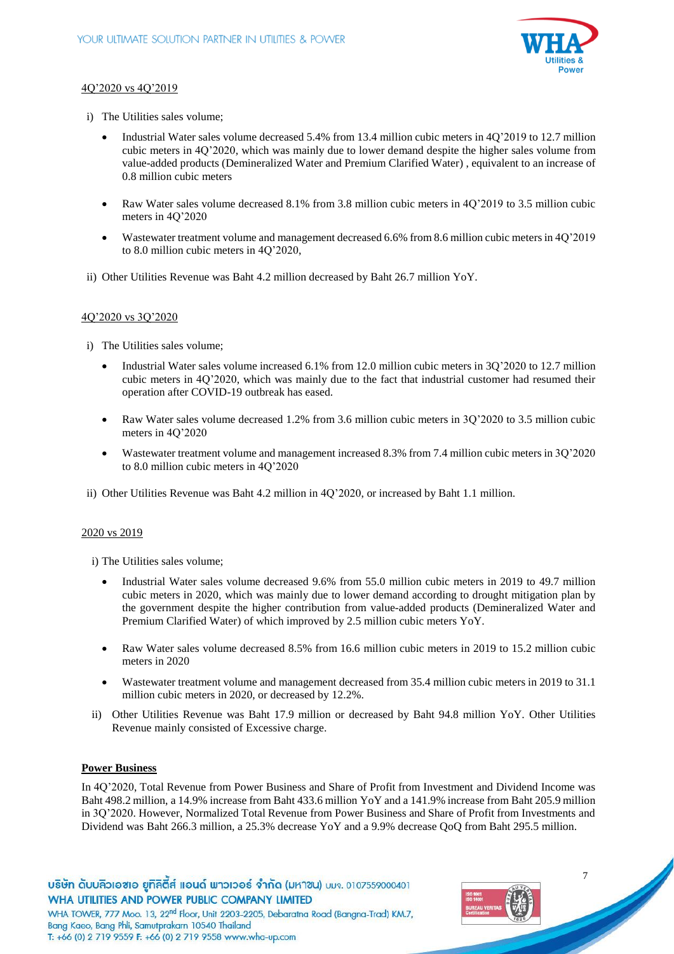

## 4Q'2020 vs 4Q'2019

- i) The Utilities sales volume;
	- Industrial Water sales volume decreased 5.4% from 13.4 million cubic meters in 4Q'2019 to 12.7 million cubic meters in 4Q'2020, which was mainly due to lower demand despite the higher sales volume from value-added products (Demineralized Water and Premium Clarified Water) , equivalent to an increase of 0.8 million cubic meters
	- Raw Water sales volume decreased 8.1% from 3.8 million cubic meters in 4Q'2019 to 3.5 million cubic meters in 4Q'2020
	- Wastewater treatment volume and management decreased 6.6% from 8.6 million cubic meters in 4Q'2019 to 8.0 million cubic meters in 4Q'2020,
- ii) Other Utilities Revenue was Baht 4.2 million decreased by Baht 26.7 million YoY.

## 4Q'2020 vs 3Q'2020

- i) The Utilities sales volume;
	- Industrial Water sales volume increased 6.1% from 12.0 million cubic meters in 3Q'2020 to 12.7 million cubic meters in 4Q'2020, which was mainly due to the fact that industrial customer had resumed their operation after COVID-19 outbreak has eased.
	- Raw Water sales volume decreased 1.2% from 3.6 million cubic meters in 3Q'2020 to 3.5 million cubic meters in 4Q'2020
	- Wastewater treatment volume and management increased 8.3% from 7.4 million cubic meters in 3Q'2020 to 8.0 million cubic meters in 4Q'2020
- ii) Other Utilities Revenue was Baht 4.2 million in 4Q'2020, or increased by Baht 1.1 million.

## 2020 vs 2019

i) The Utilities sales volume;

- Industrial Water sales volume decreased 9.6% from 55.0 million cubic meters in 2019 to 49.7 million cubic meters in 2020, which was mainly due to lower demand according to drought mitigation plan by the government despite the higher contribution from value-added products (Demineralized Water and Premium Clarified Water) of which improved by 2.5 million cubic meters YoY.
- Raw Water sales volume decreased 8.5% from 16.6 million cubic meters in 2019 to 15.2 million cubic meters in 2020
- Wastewater treatment volume and management decreased from 35.4 million cubic meters in 2019 to 31.1 million cubic meters in 2020, or decreased by 12.2%.
- ii) Other Utilities Revenue was Baht 17.9 million or decreased by Baht 94.8 million YoY. Other Utilities Revenue mainly consisted of Excessive charge.

## **Power Business**

In 4Q'2020, Total Revenue from Power Business and Share of Profit from Investment and Dividend Income was Baht 498.2 million, a 14.9% increase from Baht 433.6 million YoY and a 141.9% increase from Baht 205.9 million in 3Q'2020. However, Normalized Total Revenue from Power Business and Share of Profit from Investments and Dividend was Baht 266.3 million, a 25.3% decrease YoY and a 9.9% decrease QoQ from Baht 295.5 million.

บริษัท ดับบลิวเอซเอ ยูทิลิตี้ส์ แอนด์ พาวเวอร์ จำกัด (มหาซน) บมจ. 0107559000401 WHA UTILITIES AND POWER PUBLIC COMPANY LIMITED



7

WHA TOWER, 777 Moo. 13, 22<sup>nd</sup> Floor, Unit 2203-2205, Debaratna Road (Bangna-Trad) KM.7, Bang Kaeo, Bang Phli, Samutprakarn 10540 Thailand T: +66 (0) 2 719 9559 F: +66 (0) 2 719 9558 www.wha-up.com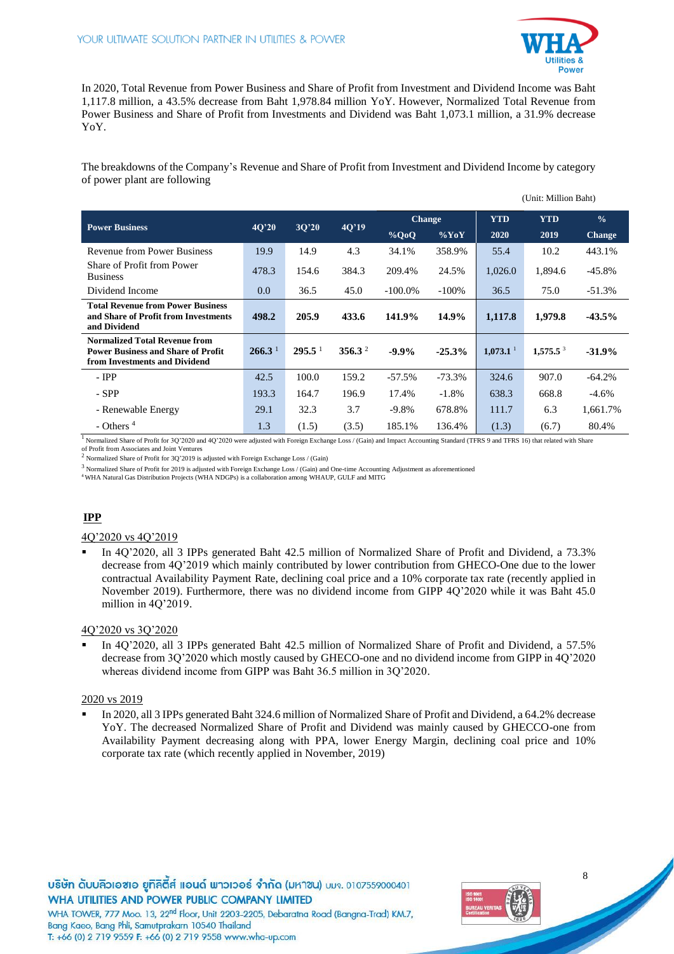

(Unit: Million Baht)

In 2020, Total Revenue from Power Business and Share of Profit from Investment and Dividend Income was Baht 1,117.8 million, a 43.5% decrease from Baht 1,978.84 million YoY. However, Normalized Total Revenue from Power Business and Share of Profit from Investments and Dividend was Baht 1,073.1 million, a 31.9% decrease YoY.

The breakdowns of the Company's Revenue and Share of Profit from Investment and Dividend Income by category of power plant are following

| <b>Power Business</b>                                                                                              | 40'20              |                    |                    | <b>Change</b> |          | <b>YTD</b>             | <b>YTD</b>  | $\frac{0}{0}$ |
|--------------------------------------------------------------------------------------------------------------------|--------------------|--------------------|--------------------|---------------|----------|------------------------|-------------|---------------|
|                                                                                                                    |                    | 3Q'20              | 4Q'19              | $\%$ QoQ      | $\%$ YoY | 2020                   | 2019        | <b>Change</b> |
| <b>Revenue from Power Business</b>                                                                                 | 19.9               | 14.9               | 4.3                | 34.1%         | 358.9%   | 55.4                   | 10.2        | 443.1%        |
| Share of Profit from Power<br><b>Business</b>                                                                      | 478.3              | 154.6              | 384.3              | 209.4%        | 24.5%    | 1,026.0                | 1,894.6     | $-45.8\%$     |
| Dividend Income                                                                                                    | 0.0                | 36.5               | 45.0               | $-100.0\%$    | $-100\%$ | 36.5                   | 75.0        | $-51.3%$      |
| <b>Total Revenue from Power Business</b><br>and Share of Profit from Investments<br>and Dividend                   | 498.2              | 205.9              | 433.6              | 141.9%        | 14.9%    | 1,117.8                | 1,979.8     | $-43.5%$      |
| <b>Normalized Total Revenue from</b><br><b>Power Business and Share of Profit</b><br>from Investments and Dividend | 266.3 <sup>1</sup> | $295.5^{\text{1}}$ | 356.3 <sup>2</sup> | $-9.9\%$      | $-25.3%$ | $1,073.1$ <sup>1</sup> | $1,575.5^3$ | $-31.9%$      |
| $-$ IPP                                                                                                            | 42.5               | 100.0              | 159.2              | $-57.5%$      | $-73.3%$ | 324.6                  | 907.0       | $-64.2%$      |
| $-$ SPP                                                                                                            | 193.3              | 164.7              | 196.9              | 17.4%         | $-1.8\%$ | 638.3                  | 668.8       | $-4.6\%$      |
| - Renewable Energy                                                                                                 | 29.1               | 32.3               | 3.7                | $-9.8%$       | 678.8%   | 111.7                  | 6.3         | 1,661.7%      |
| $-$ Others <sup>4</sup>                                                                                            | 1.3                | (1.5)              | (3.5)              | 185.1%        | 136.4%   | (1.3)                  | (6.7)       | 80.4%         |

<sup>1</sup> Normalized Share of Profit for 3Q'2020 and 4Q'2020 were adjusted with Foreign Exchange Loss / (Gain) and Impact Accounting Standard (TFRS 9 and TFRS 16) that related with Share of Profit from Associates and Joint Ventures

 $^2$ Normalized Share of Profit for 3Q'2019 is adjusted with Foreign Exchange Loss / (Gain)

 $^3$  Normalized Share of Profit for 2019 is adjusted with Foreign Exchange Loss / (Gain) and One-time Accounting Adjustment as aforementioned

<sup>4</sup>WHA Natural Gas Distribution Projects (WHA NDGPs) is a collaboration among WHAUP, GULF and MITG

# **IPP**

#### 4Q'2020 vs 4Q'2019

 In 4Q'2020, all 3 IPPs generated Baht 42.5 million of Normalized Share of Profit and Dividend, a 73.3% decrease from 4Q'2019 which mainly contributed by lower contribution from GHECO-One due to the lower contractual Availability Payment Rate, declining coal price and a 10% corporate tax rate (recently applied in November 2019). Furthermore, there was no dividend income from GIPP 4Q'2020 while it was Baht 45.0 million in 4Q'2019.

#### 4Q'2020 vs 3Q'2020

 In 4Q'2020, all 3 IPPs generated Baht 42.5 million of Normalized Share of Profit and Dividend, a 57.5% decrease from 3Q'2020 which mostly caused by GHECO-one and no dividend income from GIPP in 4Q'2020 whereas dividend income from GIPP was Baht 36.5 million in 3Q'2020.

#### 2020 vs 2019

 In 2020, all 3 IPPs generated Baht 324.6 million of Normalized Share of Profit and Dividend, a 64.2% decrease YoY. The decreased Normalized Share of Profit and Dividend was mainly caused by GHECCO-one from Availability Payment decreasing along with PPA, lower Energy Margin, declining coal price and 10% corporate tax rate (which recently applied in November, 2019)

บริษัท ดับบลิวเอซเอ ยูทิลิตี้ส์ แอนด์ พาวเวอร์ จำกัด (มหาซน) บมจ. 0107559000401 WHA UTILITIES AND POWER PUBLIC COMPANY LIMITED WHA TOWER, 777 Moo. 13, 22<sup>nd</sup> Floor, Unit 2203-2205, Debaratna Road (Bangna-Trad) KM.7,



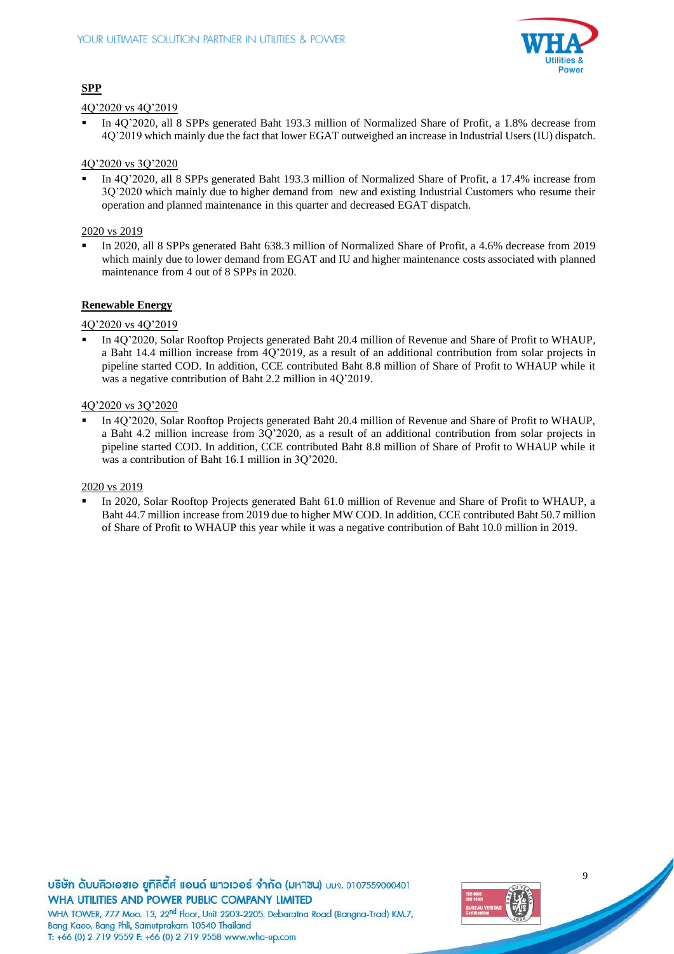

## **SPP**

## 4Q'2020 vs 4Q'2019

 In 4Q'2020, all 8 SPPs generated Baht 193.3 million of Normalized Share of Profit, a 1.8% decrease from 4Q'2019 which mainly due the fact that lower EGAT outweighed an increase in Industrial Users (IU) dispatch.

## 4Q'2020 vs 3Q'2020

 In 4Q'2020, all 8 SPPs generated Baht 193.3 million of Normalized Share of Profit, a 17.4% increase from 3Q'2020 which mainly due to higher demand from new and existing Industrial Customers who resume their operation and planned maintenance in this quarter and decreased EGAT dispatch.

## 2020 vs 2019

 In 2020, all 8 SPPs generated Baht 638.3 million of Normalized Share of Profit, a 4.6% decrease from 2019 which mainly due to lower demand from EGAT and IU and higher maintenance costs associated with planned maintenance from 4 out of 8 SPPs in 2020.

## **Renewable Energy**

## 4Q'2020 vs 4Q'2019

 In 4Q'2020, Solar Rooftop Projects generated Baht 20.4 million of Revenue and Share of Profit to WHAUP, a Baht 14.4 million increase from 4Q'2019, as a result of an additional contribution from solar projects in pipeline started COD. In addition, CCE contributed Baht 8.8 million of Share of Profit to WHAUP while it was a negative contribution of Baht 2.2 million in 4Q'2019.

#### 4Q'2020 vs 3Q'2020

 In 4Q'2020, Solar Rooftop Projects generated Baht 20.4 million of Revenue and Share of Profit to WHAUP, a Baht 4.2 million increase from 3Q'2020, as a result of an additional contribution from solar projects in pipeline started COD. In addition, CCE contributed Baht 8.8 million of Share of Profit to WHAUP while it was a contribution of Baht 16.1 million in 3Q'2020.

## 2020 vs 2019

 In 2020, Solar Rooftop Projects generated Baht 61.0 million of Revenue and Share of Profit to WHAUP, a Baht 44.7 million increase from 2019 due to higher MW COD. In addition, CCE contributed Baht 50.7 million of Share of Profit to WHAUP this year while it was a negative contribution of Baht 10.0 million in 2019.

บริษัท ดับบลิวเอซเอ ยูทิลิตี้ส์ แอนด์ พาวเวอร์ จำกัด (มหาซน) บมจ. 0107559000401 WHA UTILITIES AND POWER PUBLIC COMPANY LIMITED WHA TOWER, 777 Moo. 13, 22<sup>nd</sup> Floor, Unit 2203-2205, Debaratna Road (Bangna-Trad) KM.7, Bang Kaeo, Bang Phli, Samutprakarn 10540 Thailand

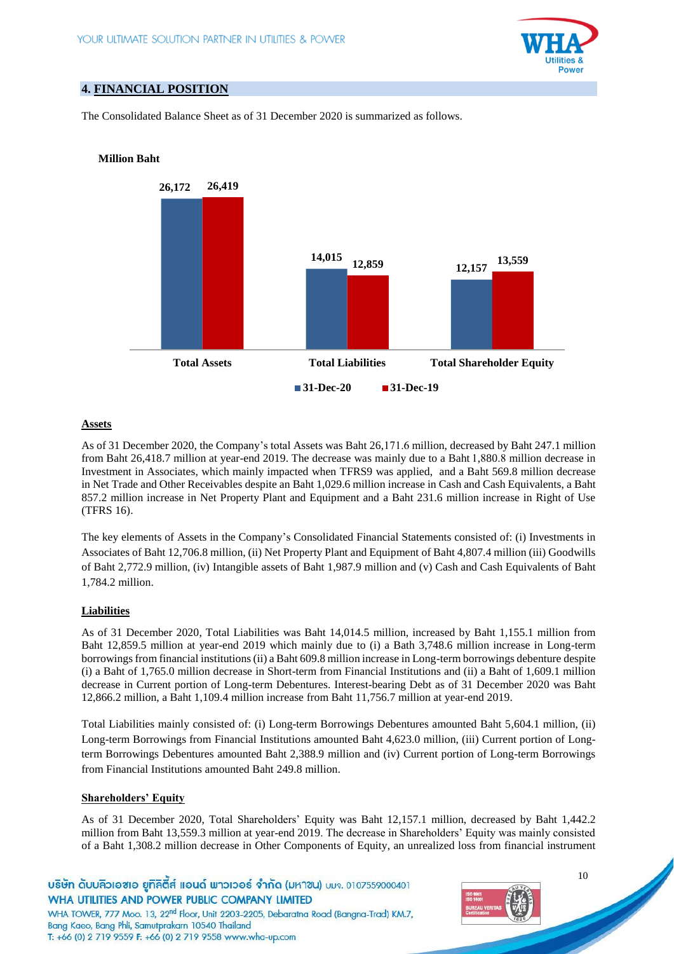

# **4. FINANCIAL POSITION**

**Million Baht**

The Consolidated Balance Sheet as of 31 December 2020 is summarized as follows.

# **26,172 14,015 12,157 26,419 12,859 13,559 Total Assets Total Liabilities Total Shareholder Equity 31-Dec-20 31-Dec-19**

## **Assets**

As of 31 December 2020, the Company's total Assets was Baht 26,171.6 million, decreased by Baht 247.1 million from Baht 26,418.7 million at year-end 2019. The decrease was mainly due to a Baht 1,880.8 million decrease in Investment in Associates, which mainly impacted when TFRS9 was applied, and a Baht 569.8 million decrease in Net Trade and Other Receivables despite an Baht 1,029.6 million increase in Cash and Cash Equivalents, a Baht 857.2 million increase in Net Property Plant and Equipment and a Baht 231.6 million increase in Right of Use (TFRS 16).

The key elements of Assets in the Company's Consolidated Financial Statements consisted of: (i) Investments in Associates of Baht 12,706.8 million, (ii) Net Property Plant and Equipment of Baht 4,807.4 million (iii) Goodwills of Baht 2,772.9 million, (iv) Intangible assets of Baht 1,987.9 million and (v) Cash and Cash Equivalents of Baht 1,784.2 million.

## **Liabilities**

As of 31 December 2020, Total Liabilities was Baht 14,014.5 million, increased by Baht 1,155.1 million from Baht 12,859.5 million at year-end 2019 which mainly due to (i) a Bath 3,748.6 million increase in Long-term borrowings from financial institutions (ii) a Baht 609.8 million increase in Long-term borrowings debenture despite (i) a Baht of 1,765.0 million decrease in Short-term from Financial Institutions and (ii) a Baht of 1,609.1 million decrease in Current portion of Long-term Debentures. Interest-bearing Debt as of 31 December 2020 was Baht 12,866.2 million, a Baht 1,109.4 million increase from Baht 11,756.7 million at year-end 2019.

Total Liabilities mainly consisted of: (i) Long-term Borrowings Debentures amounted Baht 5,604.1 million, (ii) Long-term Borrowings from Financial Institutions amounted Baht 4,623.0 million, (iii) Current portion of Longterm Borrowings Debentures amounted Baht 2,388.9 million and (iv) Current portion of Long-term Borrowings from Financial Institutions amounted Baht 249.8 million.

## **Shareholders' Equity**

As of 31 December 2020, Total Shareholders' Equity was Baht 12,157.1 million, decreased by Baht 1,442.2 million from Baht 13,559.3 million at year-end 2019. The decrease in Shareholders' Equity was mainly consisted of a Baht 1,308.2 million decrease in Other Components of Equity, an unrealized loss from financial instrument

บริษัท ดับบลิวเอซเอ ยูทิลิตีส์ แอนด์ พาวเวอร์ จำกัด (มหาซน) บมจ. 0107559000401 WHA UTILITIES AND POWER PUBLIC COMPANY LIMITED

WHA TOWER, 777 Moo. 13, 22<sup>nd</sup> Floor, Unit 2203-2205, Debaratna Road (Bangna-Trad) KM.7, Bang Kaeo, Bang Phli, Samutprakarn 10540 Thailand T: +66 (0) 2 719 9559 F: +66 (0) 2 719 9558 www.wha-up.com